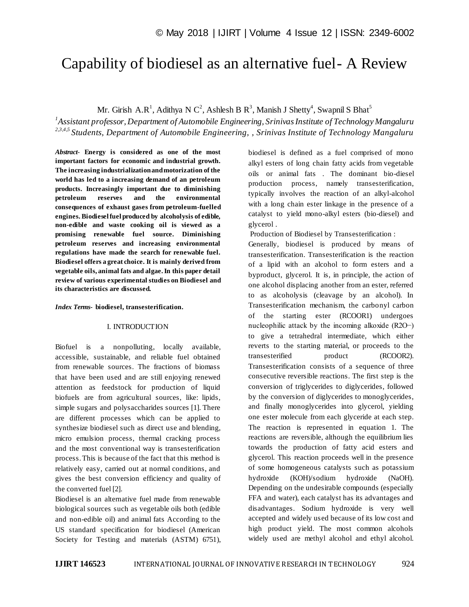# Capability of biodiesel as an alternative fuel- A Review

Mr. Girish A.R<sup>1</sup>, Adithya N C<sup>2</sup>, Ashlesh B R<sup>3</sup>, Manish J Shetty<sup>4</sup>, Swapnil S Bhat<sup>5</sup>

*1 Assistant professor, Department of Automobile Engineering, Srinivas Institute of Technology Mangaluru 2,3,4,5 Students, Department of Automobile Engineering, , Srinivas Institute of Technology Mangaluru*

*Abstract*- **Energy is considered as one of the most important factors for economic and industrial growth. The increasing industrialization and motorization of the world has led to a increasing demand of an petroleum products. Increasingly important due to diminishing petroleum reserves and the environmental consequences of exhaust gases from petroleum-fuelled engines. Biodiesel fuel produced by alcoholysis of edible, non-edible and waste cooking oil is viewed as a promising renewable fuel source. Diminishing petroleum reserves and increasing environmental regulations have made the search for renewable fuel. Biodiesel offers a great choice. It is mainly derived from vegetable oils, animal fats and algae. In this paper detail review of various experimental studies on Biodiesel and its characteristics are discussed.**

### *Index Terms***- biodiesel, transesterification.**

## I. INTRODUCTION

Biofuel is a nonpolluting, locally available, accessible, sustainable, and reliable fuel obtained from renewable sources. The fractions of biomass that have been used and are still enjoying renewed attention as feedstock for production of liquid biofuels are from agricultural sources, like: lipids, simple sugars and polysaccharides sources [1]. There are different processes which can be applied to synthesize biodiesel such as direct use and blending, micro emulsion process, thermal cracking process and the most conventional way is transesterification process. This is because of the fact that this method is relatively easy, carried out at normal conditions, and gives the best conversion efficiency and quality of the converted fuel [2].

Biodiesel is an alternative fuel made from renewable biological sources such as vegetable oils both (edible and non-edible oil) and animal fats According to the US standard specification for biodiesel (American Society for Testing and materials (ASTM) 6751), biodiesel is defined as a fuel comprised of mono alkyl esters of long chain fatty acids from vegetable oils or animal fats . The dominant bio-diesel production process, namely transesterification, typically involves the reaction of an alkyl-alcohol with a long chain ester linkage in the presence of a catalyst to yield mono-alkyl esters (bio-diesel) and glycerol .

Production of Biodiesel by Transesterification :

Generally, biodiesel is produced by means of transesterification. Transesterification is the reaction of a lipid with an alcohol to form esters and a byproduct, glycerol. It is, in principle, the action of one alcohol displacing another from an ester, referred to as alcoholysis (cleavage by an alcohol). In Transesterification mechanism, the carbonyl carbon of the starting ester (RCOOR1) undergoes nucleophilic attack by the incoming alkoxide (R2O−) to give a tetrahedral intermediate, which either reverts to the starting material, or proceeds to the transesterified product (RCOOR2). Transesterification consists of a sequence of three consecutive reversible reactions. The first step is the conversion of triglycerides to diglycerides, followed by the conversion of diglycerides to monoglycerides, and finally monoglycerides into glycerol, yielding one ester molecule from each glyceride at each step. The reaction is represented in equation 1. The reactions are reversible, although the equilibrium lies towards the production of fatty acid esters and glycerol. This reaction proceeds well in the presence of some homogeneous catalysts such as potassium hydroxide (KOH)/sodium hydroxide (NaOH). Depending on the undesirable compounds (especially FFA and water), each catalyst has its advantages and disadvantages. Sodium hydroxide is very well accepted and widely used because of its low cost and high product yield. The most common alcohols widely used are methyl alcohol and ethyl alcohol.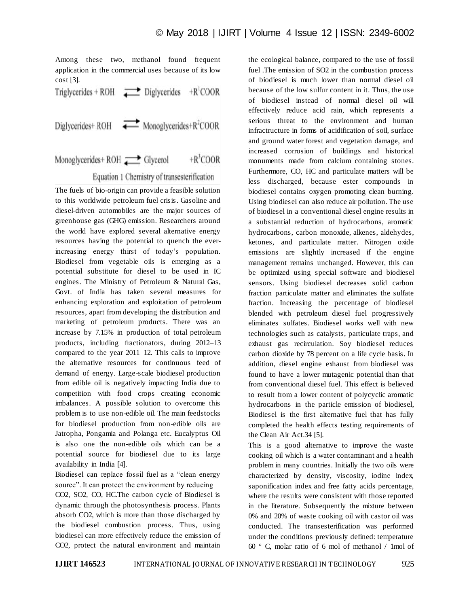Among these two, methanol found frequent application in the commercial uses because of its low cost [3].

Triglycerides + ROH  $\longrightarrow$  Diglycerides + R<sup>1</sup>COOR Diglycerides+ROH Monoglycerides+R<sup>2</sup>COOR

Monoglycerides+ ROH Glycerol  $+R^3COOR$ 

Equation 1 Chemistry of transesterification

The fuels of bio-origin can provide a feasible solution to this worldwide petroleum fuel crisis. Gasoline and diesel-driven automobiles are the major sources of greenhouse gas (GHG) emission. Researchers around the world have explored several alternative energy resources having the potential to quench the everincreasing energy thirst of today's population. Biodiesel from vegetable oils is emerging as a potential substitute for diesel to be used in IC engines. The Ministry of Petroleum & Natural Gas, Govt. of India has taken several measures for enhancing exploration and exploitation of petroleum resources, apart from developing the distribution and marketing of petroleum products. There was an increase by 7.15% in production of total petroleum products, including fractionators, during 2012–13 compared to the year 2011–12. This calls to improve the alternative resources for continuous feed of demand of energy. Large-scale biodiesel production from edible oil is negatively impacting India due to competition with food crops creating economic imbalances. A possible solution to overcome this problem is to use non-edible oil. The main feedstocks for biodiesel production from non-edible oils are Jatropha, Pongamia and Polanga etc. Eucalyptus Oil is also one the non-edible oils which can be a potential source for biodiesel due to its large availability in India [4].

Biodiesel can replace fossil fuel as a "clean energy source". It can protect the environment by reducing

CO2, SO2, CO, HC.The carbon cycle of Biodiesel is dynamic through the photosynthesis process. Plants absorb CO2, which is more than those discharged by the biodiesel combustion process. Thus, using biodiesel can more effectively reduce the emission of CO2, protect the natural environment and maintain

the ecological balance, compared to the use of fossil fuel .The emission of SO2 in the combustion process of biodiesel is much lower than normal diesel oil because of the low sulfur content in it. Thus, the use of biodiesel instead of normal diesel oil will effectively reduce acid rain, which represents a serious threat to the environment and human infractructure in forms of acidification of soil, surface and ground water forest and vegetation damage, and increased corrosion of buildings and historical monuments made from calcium containing stones. Furthermore, CO, HC and particulate matters will be less discharged, because ester compounds in biodiesel contains oxygen promoting clean burning. Using biodiesel can also reduce air pollution. The use of biodiesel in a conventional diesel engine results in a substantial reduction of hydrocarbons, aromatic hydrocarbons, carbon monoxide, alkenes, aldehydes, ketones, and particulate matter. Nitrogen oxide emissions are slightly increased if the engine management remains unchanged. However, this can be optimized using special software and biodiesel sensors. Using biodiesel decreases solid carbon fraction particulate matter and eliminates the sulfate fraction. Increasing the percentage of biodiesel blended with petroleum diesel fuel progressively eliminates sulfates. Biodiesel works well with new technologies such as catalysts, particulate traps, and exhaust gas recirculation. Soy biodiesel reduces carbon dioxide by 78 percent on a life cycle basis. In addition, diesel engine exhaust from biodiesel was found to have a lower mutagenic potential than that from conventional diesel fuel. This effect is believed to result from a lower content of polycyclic aromatic hydrocarbons in the particle emission of biodiesel, Biodiesel is the first alternative fuel that has fully completed the health effects testing requirements of the Clean Air Act.34 [5].

This is a good alternative to improve the waste cooking oil which is a water contaminant and a health problem in many countries. Initially the two oils were characterized by density, viscosity, iodine index, saponification index and free fatty acids percentage, where the results were consistent with those reported in the literature. Subsequently the mixture between 0% and 20% of waste cooking oil with castor oil was conducted. The transesterification was performed under the conditions previously defined: temperature 60 ° C, molar ratio of 6 mol of methanol / 1mol of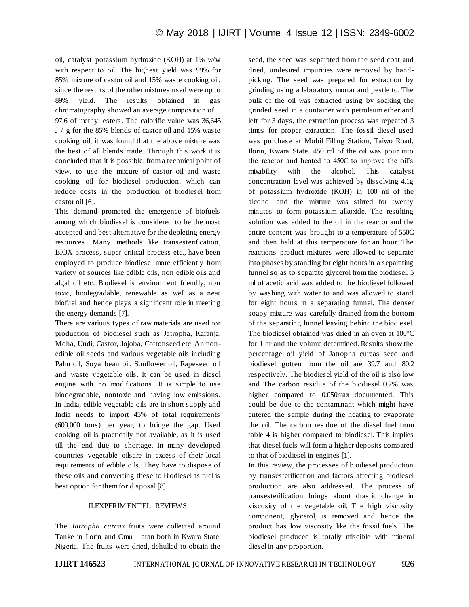oil, catalyst potassium hydroxide (KOH) at 1% w/w with respect to oil. The highest yield was 99% for 85% mixture of castor oil and 15% waste cooking oil, since the results of the other mixtures used were up to 89% yield. The results obtained in gas chromatography showed an average composition of 97.6 of methyl esters. The calorific value was 36,645 J / g for the 85% blends of castor oil and 15% waste cooking oil, it was found that the above mixture was the best of all blends made. Through this work it is concluded that it is possible, from a technical point of view, to use the mixture of castor oil and waste cooking oil for biodiesel production, which can reduce costs in the production of biodiesel from castor oil [6].

This demand promoted the emergence of biofuels among which biodiesel is considered to be the most accepted and best alternative for the depleting energy resources. Many methods like transesterification, BIOX process, super critical process etc., have been employed to produce biodiesel more efficiently from variety of sources like edible oils, non edible oils and algal oil etc. Biodiesel is environment friendly, non toxic, biodegradable, renewable as well as a neat biofuel and hence plays a significant role in meeting the energy demands [7].

There are various types of raw materials are used for production of biodiesel such as Jatropha, Karanja, Moha, Undi, Castor, Jojoba, Cottonseed etc. An nonedible oil seeds and various vegetable oils including Palm oil, Soya bean oil, Sunflower oil, Rapeseed oil and waste vegetable oils. It can be used in diesel engine with no modifications. It is simple to use biodegradable, nontoxic and having low emissions. In India, edible vegetable oils are in short supply and India needs to import 45% of total requirements (600,000 tons) per year, to bridge the gap. Used cooking oil is practically not available, as it is used till the end due to shortage. In many developed countries vegetable oilsare in excess of their local requirements of edible oils. They have to dispose of these oils and converting these to Biodiesel as fuel is best option for them for disposal [8].

# II.EXPERIMENTEL REVIEWS

The *Jatropha curcas* fruits were collected around Tanke in Ilorin and Omu – aran both in Kwara State, Nigeria. The fruits were dried, dehulled to obtain the seed, the seed was separated from the seed coat and dried, undesired impurities were removed by handpicking. The seed was prepared for extraction by grinding using a laboratory mortar and pestle to. The bulk of the oil was extracted using by soaking the grinded seed in a container with petroleum ether and left for 3 days, the extraction process was repeated 3 times for proper extraction. The fossil diesel used was purchase at Mobil Filling Station, Taiwo Road, Ilorin, Kwara State. 450 ml of the oil was pour into the reactor and heated to 450C to improve the oil's mixability with the alcohol. This catalyst concentration level was achieved by dissolving 4.1g of potassium hydroxide (KOH) in 100 ml of the alcohol and the mixture was stirred for twenty minutes to form potassium alkoxide. The resulting solution was added to the oil in the reactor and the entire content was brought to a temperature of 550C and then held at this temperature for an hour. The reactions product mixtures were allowed to separate into phases by standing for eight hours in a separating funnel so as to separate glycerol from the biodiesel. 5 ml of acetic acid was added to the biodiesel followed by washing with water to and was allowed to stand for eight hours in a separating funnel. The denser soapy mixture was carefully drained from the bottom of the separating funnel leaving behind the biodiesel. The biodiesel obtained was dried in an oven at 100°C for 1 hr and the volume determined. Results show the percentage oil yield of Jatropha curcas seed and biodiesel gotten from the oil are 39.7 and 80.2 respectively. The biodiesel yield of the oil is also low and The carbon residue of the biodiesel 0.2% was higher compared to 0.050max documented. This could be due to the contaminant which might have entered the sample during the heating to evaporate the oil. The carbon residue of the diesel fuel from table 4 is higher compared to biodiesel. This implies that diesel fuels will form a higher deposits compared to that of biodiesel in engines [1].

In this review, the processes of biodiesel production by transesterification and factors affecting biodiesel production are also addressed. The process of transesterification brings about drastic change in viscosity of the vegetable oil. The high viscosity component, glycerol, is removed and hence the product has low viscosity like the fossil fuels. The biodiesel produced is totally miscible with mineral diesel in any proportion.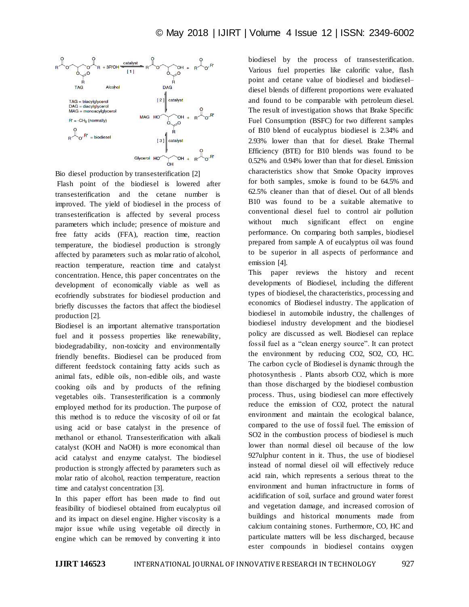

Bio diesel production by transesterification [2]

Flash point of the biodiesel is lowered after transesterification and the cetane number is improved. The yield of biodiesel in the process of transesterification is affected by several process parameters which include; presence of moisture and free fatty acids (FFA), reaction time, reaction temperature, the biodiesel production is strongly affected by parameters such as molar ratio of alcohol, reaction temperature, reaction time and catalyst concentration. Hence, this paper concentrates on the development of economically viable as well as ecofriendly substrates for biodiesel production and briefly discusses the factors that affect the biodiesel production [2].

Biodiesel is an important alternative transportation fuel and it possess properties like renewability, biodegradability, non-toxicity and environmentally friendly benefits. Biodiesel can be produced from different feedstock containing fatty acids such as animal fats, edible oils, non-edible oils, and waste cooking oils and by products of the refining vegetables oils. Transesterification is a commonly employed method for its production. The purpose of this method is to reduce the viscosity of oil or fat using acid or base catalyst in the presence of methanol or ethanol. Transesterification with alkali catalyst (KOH and NaOH) is more economical than acid catalyst and enzyme catalyst. The biodiesel production is strongly affected by parameters such as molar ratio of alcohol, reaction temperature, reaction time and catalyst concentration [3].

In this paper effort has been made to find out feasibility of biodiesel obtained from eucalyptus oil and its impact on diesel engine. Higher viscosity is a major issue while using vegetable oil directly in engine which can be removed by converting it into

biodiesel by the process of transesterification. Various fuel properties like calorific value, flash point and cetane value of biodiesel and biodieseldiesel blends of different proportions were evaluated and found to be comparable with petroleum diesel. The result of investigation shows that Brake Specific Fuel Consumption (BSFC) for two different samples of B10 blend of eucalyptus biodiesel is 2.34% and 2.93% lower than that for diesel. Brake Thermal Efficiency (BTE) for B10 blends was found to be 0.52% and 0.94% lower than that for diesel. Emission characteristics show that Smoke Opacity improves for both samples, smoke is found to be 64.5% and 62.5% cleaner than that of diesel. Out of all blends B10 was found to be a suitable alternative to conventional diesel fuel to control air pollution without much significant effect on engine performance. On comparing both samples, biodiesel prepared from sample A of eucalyptus oil was found to be superior in all aspects of performance and emission [4].

This paper reviews the history and recent developments of Biodiesel, including the different types of biodiesel, the characteristics, processing and economics of Biodiesel industry. The application of biodiesel in automobile industry, the challenges of biodiesel industry development and the biodiesel policy are discussed as well. Biodiesel can replace fossil fuel as a "clean energy source". It can protect the environment by reducing CO2, SO2, CO, HC. The carbon cycle of Biodiesel is dynamic through the photosynthesis . Plants absorb CO2, which is more than those discharged by the biodiesel combustion process. Thus, using biodiesel can more effectively reduce the emission of CO2, protect the natural environment and maintain the ecological balance, compared to the use of fossil fuel. The emission of SO2 in the combustion process of biodiesel is much lower than normal diesel oil because of the low 927ulphur content in it. Thus, the use of biodiesel instead of normal diesel oil will effectively reduce acid rain, which represents a serious threat to the environment and human infractructure in forms of acidification of soil, surface and ground water forest and vegetation damage, and increased corrosion of buildings and historical monuments made from calcium containing stones. Furthermore, CO, HC and particulate matters will be less discharged, because ester compounds in biodiesel contains oxygen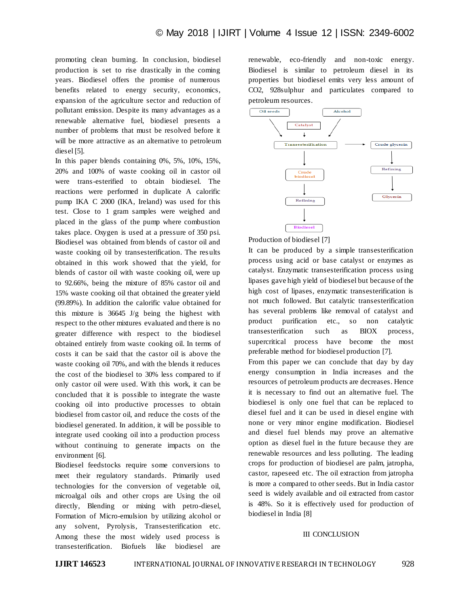promoting clean burning. In conclusion, biodiesel production is set to rise drastically in the coming years. Biodiesel offers the promise of numerous benefits related to energy security, economics, expansion of the agriculture sector and reduction of pollutant emission. Despite its many advantages as a renewable alternative fuel, biodiesel presents a number of problems that must be resolved before it will be more attractive as an alternative to petroleum diesel [5].

In this paper blends containing 0%, 5%, 10%, 15%, 20% and 100% of waste cooking oil in castor oil were trans-esterified to obtain biodiesel. The reactions were performed in duplicate A calorific pump IKA C 2000 (IKA, Ireland) was used for this test. Close to 1 gram samples were weighed and placed in the glass of the pump where combustion takes place. Oxygen is used at a pressure of 350 psi. Biodiesel was obtained from blends of castor oil and waste cooking oil by transesterification. The results obtained in this work showed that the yield, for blends of castor oil with waste cooking oil, were up to 92.66%, being the mixture of 85% castor oil and 15% waste cooking oil that obtained the greater yield (99.89%). In addition the calorific value obtained for this mixture is 36645 J/g being the highest with respect to the other mixtures evaluated and there is no greater difference with respect to the biodiesel obtained entirely from waste cooking oil. In terms of costs it can be said that the castor oil is above the waste cooking oil 70%, and with the blends it reduces the cost of the biodiesel to 30% less compared to if only castor oil were used. With this work, it can be concluded that it is possible to integrate the waste cooking oil into productive processes to obtain biodiesel from castor oil, and reduce the costs of the biodiesel generated. In addition, it will be possible to integrate used cooking oil into a production process without continuing to generate impacts on the environment [6].

Biodiesel feedstocks require some conversions to meet their regulatory standards. Primarily used technologies for the conversion of vegetable oil, microalgal oils and other crops are Using the oil directly, Blending or mixing with petro-diesel, Formation of Micro-emulsion by utilizing alcohol or any solvent, Pyrolysis, Transesterification etc. Among these the most widely used process is transesterification. Biofuels like biodiesel are

renewable, eco-friendly and non-toxic energy. Biodiesel is similar to petroleum diesel in its properties but biodiesel emits very less amount of CO2, 928sulphur and particulates compared to petroleum resources.



Production of biodiesel [7]

It can be produced by a simple transesterification process using acid or base catalyst or enzymes as catalyst. Enzymatic transesterification process using lipases gave high yield of biodiesel but because of the high cost of lipases, enzymatic transesterification is not much followed. But catalytic transesterification has several problems like removal of catalyst and product purification etc., so non catalytic transesterification such as BIOX process, supercritical process have become the most preferable method for biodiesel production [7].

From this paper we can conclude that day by day energy consumption in India increases and the resources of petroleum products are decreases. Hence it is necessary to find out an alternative fuel. The biodiesel is only one fuel that can be replaced to diesel fuel and it can be used in diesel engine with none or very minor engine modification. Biodiesel and diesel fuel blends may prove an alternative option as diesel fuel in the future because they are renewable resources and less polluting. The leading crops for production of biodiesel are palm, jatropha, castor, rapeseed etc. The oil extraction from jatropha is more a compared to other seeds. But in India castor seed is widely available and oil extracted from castor is 48%. So it is effectively used for production of biodiesel in India [8]

### III CONCLUSION